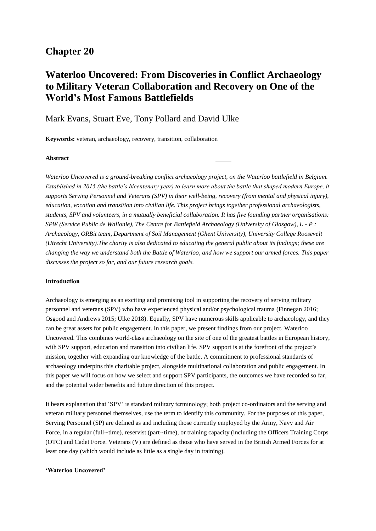# **Chapter 20**

# **Waterloo Uncovered: From Discoveries in Conflict Archaeology to Military Veteran Collaboration and Recovery on One of the World's Most Famous Battlefields**

# Mark Evans, Stuart Eve, Tony Pollard and David Ulke

**Keywords:** veteran, archaeology, recovery, transition, collaboration

## **Abstract**

*Waterloo Uncovered is a ground-breaking conflict archaeology project, on the Waterloo battlefield in Belgium. Established in 2015 (the battle's bicentenary year) to learn more about the battle that shaped modern Europe, it supports Serving Personnel and Veterans (SPV) in their well-being, recovery (from mental and physical injury), education, vocation and transition into civilian life. This project brings together professional archaeologists, students, SPV and volunteers, in a mutually beneficial collaboration. It has five founding partner organisations: SPW (Service Public de Wallonie), The Centre for Battlefield Archaeology (University of Glasgow), L - P : Archaeology, ORBit team, Department of Soil Management (Ghent University), University College Roosevelt (Utrecht University).The charity is also dedicated to educating the general public about its findings; these are changing the way we understand both the Battle of Waterloo, and how we support our armed forces. This paper discusses the project so far, and our future research goals.*

#### **Introduction**

Archaeology is emerging as an exciting and promising tool in supporting the recovery of serving military personnel and veterans (SPV) who have experienced physical and/or psychological trauma (Finnegan 2016; Osgood and Andrews 2015; Ulke 2018). Equally, SPV have numerous skills applicable to archaeology, and they can be great assets for public engagement. In this paper, we present findings from our project, Waterloo Uncovered. This combines world-class archaeology on the site of one of the greatest battles in European history, with SPV support, education and transition into civilian life. SPV support is at the forefront of the project's mission, together with expanding our knowledge of the battle. A commitment to professional standards of archaeology underpins this charitable project, alongside multinational collaboration and public engagement. In this paper we will focus on how we select and support SPV participants, the outcomes we have recorded so far, and the potential wider benefits and future direction of this project.

It bears explanation that 'SPV' is standard military terminology; both project co-ordinators and the serving and veteran military personnel themselves, use the term to identify this community. For the purposes of this paper, Serving Personnel (SP) are defined as and including those currently employed by the Army, Navy and Air Force, in a regular (full--time), reservist (part--time), or training capacity (including the Officers Training Corps (OTC) and Cadet Force. Veterans (V) are defined as those who have served in the British Armed Forces for at least one day (which would include as little as a single day in training).

## **'Waterloo Uncovered'**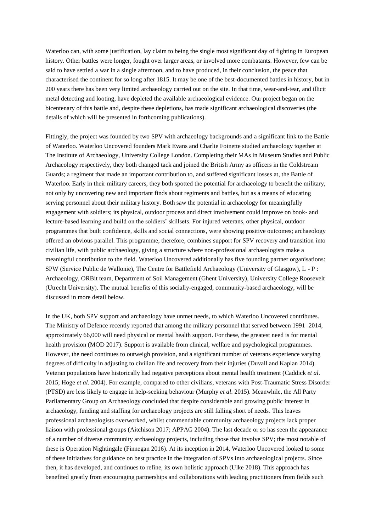Waterloo can, with some justification, lay claim to being the single most significant day of fighting in European history. Other battles were longer, fought over larger areas, or involved more combatants. However, few can be said to have settled a war in a single afternoon, and to have produced, in their conclusion, the peace that characterised the continent for so long after 1815. It may be one of the best-documented battles in history, but in 200 years there has been very limited archaeology carried out on the site. In that time, wear-and-tear, and illicit metal detecting and looting, have depleted the available archaeological evidence. Our project began on the bicentenary of this battle and, despite these depletions, has made significant archaeological discoveries (the details of which will be presented in forthcoming publications).

Fittingly, the project was founded by two SPV with archaeology backgrounds and a significant link to the Battle of Waterloo. Waterloo Uncovered founders Mark Evans and Charlie Foinette studied archaeology together at The Institute of Archaeology, University College London. Completing their MAs in Museum Studies and Public Archaeology respectively, they both changed tack and joined the British Army as officers in the Coldstream Guards; a regiment that made an important contribution to, and suffered significant losses at, the Battle of Waterloo. Early in their military careers, they both spotted the potential for archaeology to benefit the military, not only by uncovering new and important finds about regiments and battles, but as a means of educating serving personnel about their military history. Both saw the potential in archaeology for meaningfully engagement with soldiers; its physical, outdoor process and direct involvement could improve on book- and lecture-based learning and build on the soldiers' skillsets. For injured veterans, other physical, outdoor programmes that built confidence, skills and social connections, were showing positive outcomes; archaeology offered an obvious parallel. This programme, therefore, combines support for SPV recovery and transition into civilian life, with public archaeology, giving a structure where non-professional archaeologists make a meaningful contribution to the field. Waterloo Uncovered additionally has five founding partner organisations: SPW (Service Public de Wallonie), The Centre for Battlefield Archaeology (University of Glasgow), L - P : Archaeology, ORBit team, Department of Soil Management (Ghent University), University College Roosevelt (Utrecht University). The mutual benefits of this socially-engaged, community-based archaeology, will be discussed in more detail below.

In the UK, both SPV support and archaeology have unmet needs, to which Waterloo Uncovered contributes. The Ministry of Defence recently reported that among the military personnel that served between 1991–2014, approximately 66,000 will need physical or mental health support. For these, the greatest need is for mental health provision (MOD 2017). Support is available from clinical, welfare and psychological programmes. However, the need continues to outweigh provision, and a significant number of veterans experience varying degrees of difficulty in adjusting to civilian life and recovery from their injuries (Duvall and Kaplan 2014). Veteran populations have historically had negative perceptions about mental health treatment (Caddick *et al*. 2015; Hoge *et al*. 2004). For example, compared to other civilians, veterans with Post-Traumatic Stress Disorder (PTSD) are less likely to engage in help-seeking behaviour (Murphy *et al*. 2015). Meanwhile, the All Party Parliamentary Group on Archaeology concluded that despite considerable and growing public interest in archaeology, funding and staffing for archaeology projects are still falling short of needs. This leaves professional archaeologists overworked, whilst commendable community archaeology projects lack proper liaison with professional groups (Aitchison 2017; APPAG 2004). The last decade or so has seen the appearance of a number of diverse community archaeology projects, including those that involve SPV; the most notable of these is Operation Nightingale (Finnegan 2016). At its inception in 2014, Waterloo Uncovered looked to some of these initiatives for guidance on best practice in the integration of SPVs into archaeological projects. Since then, it has developed, and continues to refine, its own holistic approach (Ulke 2018). This approach has benefited greatly from encouraging partnerships and collaborations with leading practitioners from fields such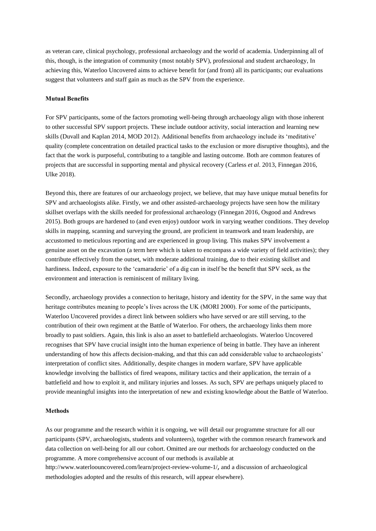as veteran care, clinical psychology, professional archaeology and the world of academia. Underpinning all of this, though, is the integration of community (most notably SPV), professional and student archaeology, In achieving this, Waterloo Uncovered aims to achieve benefit for (and from) all its participants; our evaluations suggest that volunteers and staff gain as much as the SPV from the experience.

#### **Mutual Benefits**

For SPV participants, some of the factors promoting well-being through archaeology align with those inherent to other successful SPV support projects. These include outdoor activity, social interaction and learning new skills (Duvall and Kaplan 2014, MOD 2012). Additional benefits from archaeology include its 'meditative' quality (complete concentration on detailed practical tasks to the exclusion or more disruptive thoughts), and the fact that the work is purposeful, contributing to a tangible and lasting outcome. Both are common features of projects that are successful in supporting mental and physical recovery (Carless *et al*. 2013, Finnegan 2016, Ulke 2018).

Beyond this, there are features of our archaeology project, we believe, that may have unique mutual benefits for SPV and archaeologists alike. Firstly, we and other assisted-archaeology projects have seen how the military skillset overlaps with the skills needed for professional archaeology (Finnegan 2016, Osgood and Andrews 2015). Both groups are hardened to (and even enjoy) outdoor work in varying weather conditions. They develop skills in mapping, scanning and surveying the ground, are proficient in teamwork and team leadership, are accustomed to meticulous reporting and are experienced in group living. This makes SPV involvement a genuine asset on the excavation (a term here which is taken to encompass a wide variety of field activities); they contribute effectively from the outset, with moderate additional training, due to their existing skillset and hardiness. Indeed, exposure to the 'camaraderie' of a dig can in itself be the benefit that SPV seek, as the environment and interaction is reminiscent of military living.

Secondly, archaeology provides a connection to heritage, history and identity for the SPV, in the same way that heritage contributes meaning to people's lives across the UK (MORI 2000). For some of the participants, Waterloo Uncovered provides a direct link between soldiers who have served or are still serving, to the contribution of their own regiment at the Battle of Waterloo. For others, the archaeology links them more broadly to past soldiers. Again, this link is also an asset to battlefield archaeologists. Waterloo Uncovered recognises that SPV have crucial insight into the human experience of being in battle. They have an inherent understanding of how this affects decision-making, and that this can add considerable value to archaeologists' interpretation of conflict sites. Additionally, despite changes in modern warfare, SPV have applicable knowledge involving the ballistics of fired weapons, military tactics and their application, the terrain of a battlefield and how to exploit it, and military injuries and losses. As such, SPV are perhaps uniquely placed to provide meaningful insights into the interpretation of new and existing knowledge about the Battle of Waterloo.

#### **Methods**

As our programme and the research within it is ongoing, we will detail our programme structure for all our participants (SPV, archaeologists, students and volunteers), together with the common research framework and data collection on well-being for all our cohort. Omitted are our methods for archaeology conducted on the programme. A more comprehensive account of our methods is available at http://www.waterloouncovered.com/learn/project-review-volume-1/, and a discussion of archaeological methodologies adopted and the results of this research, will appear elsewhere).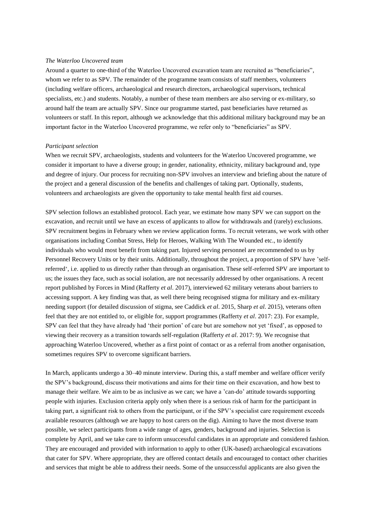#### *The Waterloo Uncovered team*

Around a quarter to one-third of the Waterloo Uncovered excavation team are recruited as "beneficiaries", whom we refer to as SPV. The remainder of the programme team consists of staff members, volunteers (including welfare officers, archaeological and research directors, archaeological supervisors, technical specialists, etc.) and students. Notably, a number of these team members are also serving or ex-military, so around half the team are actually SPV. Since our programme started, past beneficiaries have returned as volunteers or staff. In this report, although we acknowledge that this additional military background may be an important factor in the Waterloo Uncovered programme, we refer only to "beneficiaries" as SPV.

#### *Participant selection*

When we recruit SPV, archaeologists, students and volunteers for the Waterloo Uncovered programme, we consider it important to have a diverse group; in gender, nationality, ethnicity, military background and, type and degree of injury. Our process for recruiting non-SPV involves an interview and briefing about the nature of the project and a general discussion of the benefits and challenges of taking part. Optionally, students, volunteers and archaeologists are given the opportunity to take mental health first aid courses.

SPV selection follows an established protocol. Each year, we estimate how many SPV we can support on the excavation, and recruit until we have an excess of applicants to allow for withdrawals and (rarely) exclusions. SPV recruitment begins in February when we review application forms. To recruit veterans, we work with other organisations including Combat Stress, Help for Heroes, Walking With The Wounded etc., to identify individuals who would most benefit from taking part. Injured serving personnel are recommended to us by Personnel Recovery Units or by their units. Additionally, throughout the project, a proportion of SPV have 'selfreferred', i.e. applied to us directly rather than through an organisation. These self-referred SPV are important to us; the issues they face, such as social isolation, are not necessarily addressed by other organisations. A recent report published by Forces in Mind (Rafferty *et al*. 2017), interviewed 62 military veterans about barriers to accessing support. A key finding was that, as well there being recognised stigma for military and ex-military needing support (for detailed discussion of stigma, see Caddick *et al*. 2015, Sharp *et al*. 2015), veterans often feel that they are not entitled to, or eligible for, support programmes (Rafferty *et al*. 2017: 23). For example, SPV can feel that they have already had 'their portion' of care but are somehow not yet 'fixed', as opposed to viewing their recovery as a transition towards self-regulation (Rafferty *et al*. 2017: 9). We recognise that approaching Waterloo Uncovered, whether as a first point of contact or as a referral from another organisation, sometimes requires SPV to overcome significant barriers.

In March, applicants undergo a 30–40 minute interview. During this, a staff member and welfare officer verify the SPV's background, discuss their motivations and aims for their time on their excavation, and how best to manage their welfare. We aim to be as inclusive as we can; we have a 'can-do' attitude towards supporting people with injuries. Exclusion criteria apply only when there is a serious risk of harm for the participant in taking part, a significant risk to others from the participant, or if the SPV's specialist care requirement exceeds available resources (although we are happy to host carers on the dig). Aiming to have the most diverse team possible, we select participants from a wide range of ages, genders, background and injuries. Selection is complete by April, and we take care to inform unsuccessful candidates in an appropriate and considered fashion. They are encouraged and provided with information to apply to other (UK-based) archaeological excavations that cater for SPV. Where appropriate, they are offered contact details and encouraged to contact other charities and services that might be able to address their needs. Some of the unsuccessful applicants are also given the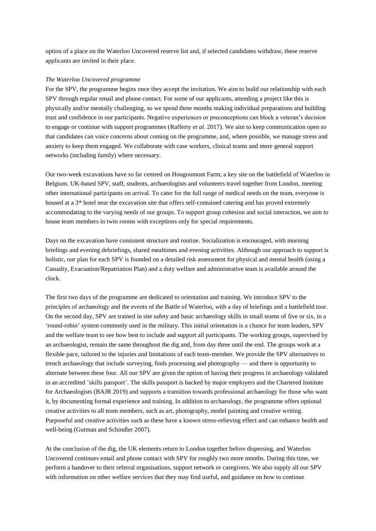option of a place on the Waterloo Uncovered reserve list and, if selected candidates withdraw, these reserve applicants are invited in their place.

#### *The Waterloo Uncovered programme*

For the SPV, the programme begins once they accept the invitation. We aim to build our relationship with each SPV through regular email and phone contact. For some of our applicants, attending a project like this is physically and/or mentally challenging, so we spend three months making individual preparations and building trust and confidence in our participants. Negative experiences or preconceptions can block a veteran's decision to engage or continue with support programmes (Rafferty *et al*. 2017). We aim to keep communication open so that candidates can voice concerns about coming on the programme, and, where possible, we manage stress and anxiety to keep them engaged. We collaborate with case workers, clinical teams and more general support networks (including family) where necessary.

Our two-week excavations have so far centred on Hougoumont Farm; a key site on the battlefield of Waterloo in Belgium. UK-based SPV, staff, students, archaeologists and volunteers travel together from London, meeting other international participants on arrival. To cater for the full range of medical needs on the team, everyone is housed at a 3<sup>\*</sup> hotel near the excavation site that offers self-contained catering and has proved extremely accommodating to the varying needs of our groups. To support group cohesion and social interaction, we aim to house team members in twin rooms with exceptions only for special requirements.

Days on the excavation have consistent structure and routine. Socialization is encouraged, with morning briefings and evening debriefings, shared mealtimes and evening activities. Although our approach to support is holistic, our plan for each SPV is founded on a detailed risk assessment for physical and mental health (using a Casualty, Evacuation/Repatriation Plan) and a duty welfare and administrative team is available around the clock.

The first two days of the programme are dedicated to orientation and training. We introduce SPV to the principles of archaeology and the events of the Battle of Waterloo, with a day of briefings and a battlefield tour. On the second day, SPV are trained in site safety and basic archaeology skills in small teams of five or six, in a 'round-robin' system commonly used in the military. This initial orientation is a chance for team leaders, SPV and the welfare team to see how best to include and support all participants. The working groups, supervised by an archaeologist, remain the same throughout the dig and, from day three until the end. The groups work at a flexible pace, tailored to the injuries and limitations of each team-member. We provide the SPV alternatives to trench archaeology that include surveying, finds processing and photography — and there is opportunity to alternate between these four. All our SPV are given the option of having their progress in archaeology validated in an accredited 'skills passport'. The skills passport is backed by major employers and the Chartered Institute for Archaeologists (BAJR 2019) and supports a transition towards professional archaeology for those who want it, by documenting formal experience and training. In addition to archaeology, the programme offers optional creative activities to all team members, such as art, photography, model painting and creative writing. Purposeful and creative activities such as these have a known stress-relieving effect and can enhance health and well-being (Gutman and Schindler 2007).

At the conclusion of the dig, the UK elements return to London together before dispersing, and Waterloo Uncovered continues email and phone contact with SPV for roughly two more months. During this time, we perform a handover to their referral organisations, support network or caregivers. We also supply all our SPV with information on other welfare services that they may find useful, and guidance on how to continue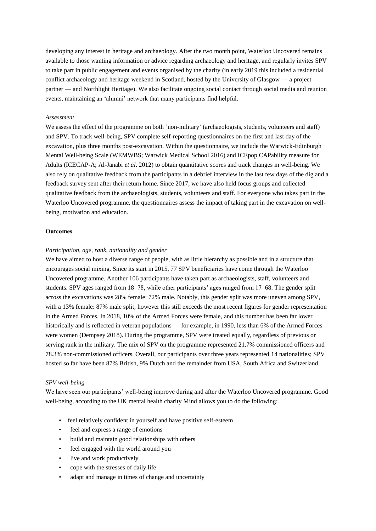developing any interest in heritage and archaeology. After the two month point, Waterloo Uncovered remains available to those wanting information or advice regarding archaeology and heritage, and regularly invites SPV to take part in public engagement and events organised by the charity (in early 2019 this included a residential conflict archaeology and heritage weekend in Scotland, hosted by the University of Glasgow — a project partner — and Northlight Heritage). We also facilitate ongoing social contact through social media and reunion events, maintaining an 'alumni' network that many participants find helpful.

#### *Assessment*

We assess the effect of the programme on both 'non-military' (archaeologists, students, volunteers and staff) and SPV. To track well-being, SPV complete self-reporting questionnaires on the first and last day of the excavation, plus three months post-excavation. Within the questionnaire, we include the Warwick-Edinburgh Mental Well-being Scale (WEMWBS; Warwick Medical School 2016) and ICEpop CAPability measure for Adults (ICECAP-A; Al-Janabi *et al*. 2012) to obtain quantitative scores and track changes in well-being. We also rely on qualitative feedback from the participants in a debrief interview in the last few days of the dig and a feedback survey sent after their return home. Since 2017, we have also held focus groups and collected qualitative feedback from the archaeologists, students, volunteers and staff. For everyone who takes part in the Waterloo Uncovered programme, the questionnaires assess the impact of taking part in the excavation on wellbeing, motivation and education.

#### **Outcomes**

#### *Participation, age, rank, nationality and gender*

We have aimed to host a diverse range of people, with as little hierarchy as possible and in a structure that encourages social mixing. Since its start in 2015, 77 SPV beneficiaries have come through the Waterloo Uncovered programme. Another 106 participants have taken part as archaeologists, staff, volunteers and students. SPV ages ranged from 18–78, while other participants' ages ranged from 17–68. The gender split across the excavations was 28% female: 72% male. Notably, this gender split was more uneven among SPV, with a 13% female: 87% male split; however this still exceeds the most recent figures for gender representation in the Armed Forces. In 2018, 10% of the Armed Forces were female, and this number has been far lower historically and is reflected in veteran populations — for example, in 1990, less than 6% of the Armed Forces were women (Dempsey 2018). During the programme, SPV were treated equally, regardless of previous or serving rank in the military. The mix of SPV on the programme represented 21.7% commissioned officers and 78.3% non-commissioned officers. Overall, our participants over three years represented 14 nationalities; SPV hosted so far have been 87% British, 9% Dutch and the remainder from USA, South Africa and Switzerland.

#### *SPV well-being*

We have seen our participants' well-being improve during and after the Waterloo Uncovered programme. Good well-being, according to the UK mental health charity Mind allows you to do the following:

- feel relatively confident in yourself and have positive self-esteem
- feel and express a range of emotions
- build and maintain good relationships with others
- feel engaged with the world around you
- live and work productively
- cope with the stresses of daily life
- adapt and manage in times of change and uncertainty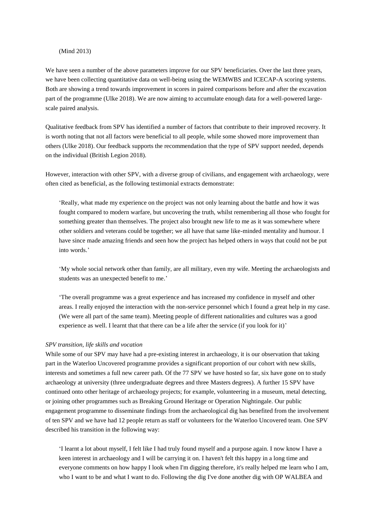### (Mind 2013)

We have seen a number of the above parameters improve for our SPV beneficiaries. Over the last three years, we have been collecting quantitative data on well-being using the WEMWBS and ICECAP-A scoring systems. Both are showing a trend towards improvement in scores in paired comparisons before and after the excavation part of the programme (Ulke 2018). We are now aiming to accumulate enough data for a well-powered largescale paired analysis.

Qualitative feedback from SPV has identified a number of factors that contribute to their improved recovery. It is worth noting that not all factors were beneficial to all people, while some showed more improvement than others (Ulke 2018). Our feedback supports the recommendation that the type of SPV support needed, depends on the individual (British Legion 2018).

However, interaction with other SPV, with a diverse group of civilians, and engagement with archaeology, were often cited as beneficial, as the following testimonial extracts demonstrate:

'Really, what made my experience on the project was not only learning about the battle and how it was fought compared to modern warfare, but uncovering the truth, whilst remembering all those who fought for something greater than themselves. The project also brought new life to me as it was somewhere where other soldiers and veterans could be together; we all have that same like-minded mentality and humour. I have since made amazing friends and seen how the project has helped others in ways that could not be put into words.'

'My whole social network other than family, are all military, even my wife. Meeting the archaeologists and students was an unexpected benefit to me.'

'The overall programme was a great experience and has increased my confidence in myself and other areas. I really enjoyed the interaction with the non-service personnel which I found a great help in my case. (We were all part of the same team). Meeting people of different nationalities and cultures was a good experience as well. I learnt that that there can be a life after the service (if you look for it)'

#### *SPV transition, life skills and vocation*

While some of our SPV may have had a pre-existing interest in archaeology, it is our observation that taking part in the Waterloo Uncovered programme provides a significant proportion of our cohort with new skills, interests and sometimes a full new career path. Of the 77 SPV we have hosted so far, six have gone on to study archaeology at university (three undergraduate degrees and three Masters degrees). A further 15 SPV have continued onto other heritage of archaeology projects; for example, volunteering in a museum, metal detecting, or joining other programmes such as Breaking Ground Heritage or Operation Nightingale. Our public engagement programme to disseminate findings from the archaeological dig has benefited from the involvement of ten SPV and we have had 12 people return as staff or volunteers for the Waterloo Uncovered team. One SPV described his transition in the following way:

'I learnt a lot about myself, I felt like I had truly found myself and a purpose again. I now know I have a keen interest in archaeology and I will be carrying it on. I haven't felt this happy in a long time and everyone comments on how happy I look when I'm digging therefore, it's really helped me learn who I am, who I want to be and what I want to do. Following the dig I've done another dig with OP WALBEA and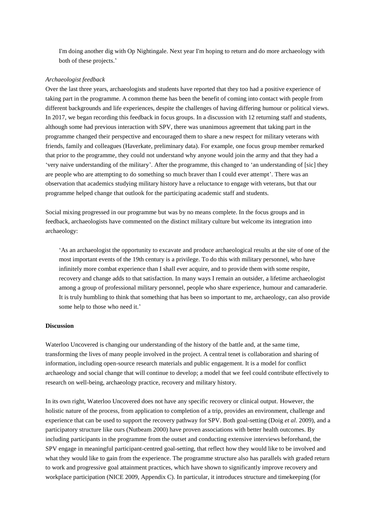I'm doing another dig with Op Nightingale. Next year I'm hoping to return and do more archaeology with both of these projects.'

#### *Archaeologist feedback*

Over the last three years, archaeologists and students have reported that they too had a positive experience of taking part in the programme. A common theme has been the benefit of coming into contact with people from different backgrounds and life experiences, despite the challenges of having differing humour or political views. In 2017, we began recording this feedback in focus groups. In a discussion with 12 returning staff and students, although some had previous interaction with SPV, there was unanimous agreement that taking part in the programme changed their perspective and encouraged them to share a new respect for military veterans with friends, family and colleagues (Haverkate, preliminary data). For example, one focus group member remarked that prior to the programme, they could not understand why anyone would join the army and that they had a 'very naive understanding of the military'. After the programme, this changed to 'an understanding of [sic] they are people who are attempting to do something so much braver than I could ever attempt'. There was an observation that academics studying military history have a reluctance to engage with veterans, but that our programme helped change that outlook for the participating academic staff and students.

Social mixing progressed in our programme but was by no means complete. In the focus groups and in feedback, archaeologists have commented on the distinct military culture but welcome its integration into archaeology:

'As an archaeologist the opportunity to excavate and produce archaeological results at the site of one of the most important events of the 19th century is a privilege. To do this with military personnel, who have infinitely more combat experience than I shall ever acquire, and to provide them with some respite, recovery and change adds to that satisfaction. In many ways I remain an outsider, a lifetime archaeologist among a group of professional military personnel, people who share experience, humour and camaraderie. It is truly humbling to think that something that has been so important to me, archaeology, can also provide some help to those who need it.'

#### **Discussion**

Waterloo Uncovered is changing our understanding of the history of the battle and, at the same time, transforming the lives of many people involved in the project. A central tenet is collaboration and sharing of information, including open-source research materials and public engagement. It is a model for conflict archaeology and social change that will continue to develop; a model that we feel could contribute effectively to research on well-being, archaeology practice, recovery and military history.

In its own right, Waterloo Uncovered does not have any specific recovery or clinical output. However, the holistic nature of the process, from application to completion of a trip, provides an environment, challenge and experience that can be used to support the recovery pathway for SPV. Both goal-setting (Doig *et al*. 2009), and a participatory structure like ours (Nutbeam 2000) have proven associations with better health outcomes. By including participants in the programme from the outset and conducting extensive interviews beforehand, the SPV engage in meaningful participant-centred goal-setting, that reflect how they would like to be involved and what they would like to gain from the experience. The programme structure also has parallels with graded return to work and progressive goal attainment practices, which have shown to significantly improve recovery and workplace participation (NICE 2009, Appendix C). In particular, it introduces structure and timekeeping (for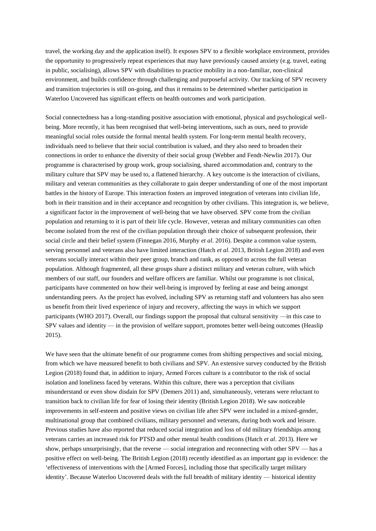travel, the working day and the application itself). It exposes SPV to a flexible workplace environment, provides the opportunity to progressively repeat experiences that may have previously caused anxiety (e.g. travel, eating in public, socialising), allows SPV with disabilities to practice mobility in a non-familiar, non-clinical environment, and builds confidence through challenging and purposeful activity. Our tracking of SPV recovery and transition trajectories is still on-going, and thus it remains to be determined whether participation in Waterloo Uncovered has significant effects on health outcomes and work participation.

Social connectedness has a long-standing positive association with emotional, physical and psychological wellbeing. More recently, it has been recognised that well-being interventions, such as ours, need to provide meaningful social roles outside the formal mental health system. For long-term mental health recovery, individuals need to believe that their social contribution is valued, and they also need to broaden their connections in order to enhance the diversity of their social group (Webber and Fendt-Newlin 2017). Our programme is characterised by group work, group socialising, shared accommodation and, contrary to the military culture that SPV may be used to, a flattened hierarchy. A key outcome is the interaction of civilians, military and veteran communities as they collaborate to gain deeper understanding of one of the most important battles in the history of Europe. This interaction fosters an improved integration of veterans into civilian life, both in their transition and in their acceptance and recognition by other civilians. This integration is, we believe, a significant factor in the improvement of well-being that we have observed. SPV come from the civilian population and returning to it is part of their life cycle. However, veteran and military communities can often become isolated from the rest of the civilian population through their choice of subsequent profession, their social circle and their belief system (Finnegan 2016, Murphy *et al*. 2016). Despite a common value system, serving personnel and veterans also have limited interaction (Hatch *et al*. 2013, British Legion 2018) and even veterans socially interact within their peer group, branch and rank, as opposed to across the full veteran population. Although fragmented, all these groups share a distinct military and veteran culture, with which members of our staff, our founders and welfare officers are familiar. Whilst our programme is not clinical, participants have commented on how their well-being is improved by feeling at ease and being amongst understanding peers. As the project has evolved, including SPV as returning staff and volunteers has also seen us benefit from their lived experience of injury and recovery, affecting the ways in which we support participants (WHO 2017). Overall, our findings support the proposal that cultural sensitivity —in this case to SPV values and identity — in the provision of welfare support, promotes better well-being outcomes (Heaslip 2015).

We have seen that the ultimate benefit of our programme comes from shifting perspectives and social mixing, from which we have measured benefit to both civilians and SPV. An extensive survey conducted by the British Legion (2018) found that, in addition to injury, Armed Forces culture is a contributor to the risk of social isolation and loneliness faced by veterans. Within this culture, there was a perception that civilians misunderstand or even show disdain for SPV (Demers 2011) and, simultaneously, veterans were reluctant to transition back to civilian life for fear of losing their identity (British Legion 2018). We saw noticeable improvements in self-esteem and positive views on civilian life after SPV were included in a mixed-gender, multinational group that combined civilians, military personnel and veterans, during both work and leisure. Previous studies have also reported that reduced social integration and loss of old military friendships among veterans carries an increased risk for PTSD and other mental health conditions (Hatch *et al*. 2013). Here we show, perhaps unsurprisingly, that the reverse — social integration and reconnecting with other SPV — has a positive effect on well-being. The British Legion (2018) recently identified as an important gap in evidence: the 'effectiveness of interventions with the [Armed Forces], including those that specifically target military identity'. Because Waterloo Uncovered deals with the full breadth of military identity — historical identity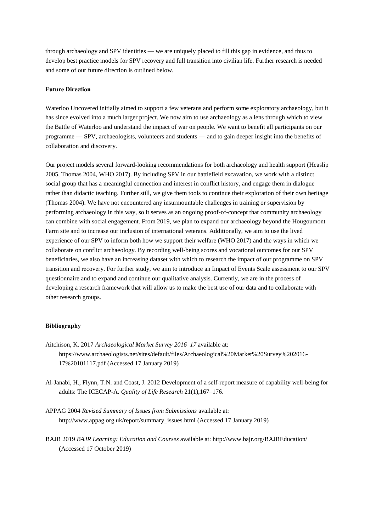through archaeology and SPV identities — we are uniquely placed to fill this gap in evidence, and thus to develop best practice models for SPV recovery and full transition into civilian life. Further research is needed and some of our future direction is outlined below.

#### **Future Direction**

Waterloo Uncovered initially aimed to support a few veterans and perform some exploratory archaeology, but it has since evolved into a much larger project. We now aim to use archaeology as a lens through which to view the Battle of Waterloo and understand the impact of war on people. We want to benefit all participants on our programme — SPV, archaeologists, volunteers and students — and to gain deeper insight into the benefits of collaboration and discovery.

Our project models several forward-looking recommendations for both archaeology and health support (Heaslip 2005, Thomas 2004, WHO 2017). By including SPV in our battlefield excavation, we work with a distinct social group that has a meaningful connection and interest in conflict history, and engage them in dialogue rather than didactic teaching. Further still, we give them tools to continue their exploration of their own heritage (Thomas 2004). We have not encountered any insurmountable challenges in training or supervision by performing archaeology in this way, so it serves as an ongoing proof-of-concept that community archaeology can combine with social engagement. From 2019, we plan to expand our archaeology beyond the Hougoumont Farm site and to increase our inclusion of international veterans. Additionally, we aim to use the lived experience of our SPV to inform both how we support their welfare (WHO 2017) and the ways in which we collaborate on conflict archaeology. By recording well-being scores and vocational outcomes for our SPV beneficiaries, we also have an increasing dataset with which to research the impact of our programme on SPV transition and recovery. For further study, we aim to introduce an Impact of Events Scale assessment to our SPV questionnaire and to expand and continue our qualitative analysis. Currently, we are in the process of developing a research framework that will allow us to make the best use of our data and to collaborate with other research groups.

#### **Bibliography**

- Aitchison, K. 2017 *Archaeological Market Survey 2016–17* available at: https://www.archaeologists.net/sites/default/files/Archaeological%20Market%20Survey%202016- 17%20101117.pdf (Accessed 17 January 2019)
- Al-Janabi, H., Flynn, T.N. and Coast, J. 2012 Development of a self-report measure of capability well-being for adults: The ICECAP-A. *Quality of Life Research* 21(1),167–176.
- APPAG 2004 *Revised Summary of Issues from Submissions* available at: http://www.appag.org.uk/report/summary\_issues.html (Accessed 17 January 2019)
- BAJR 2019 *BAJR Learning: Education and Courses* available at: http://www.bajr.org/BAJREducation/ (Accessed 17 October 2019)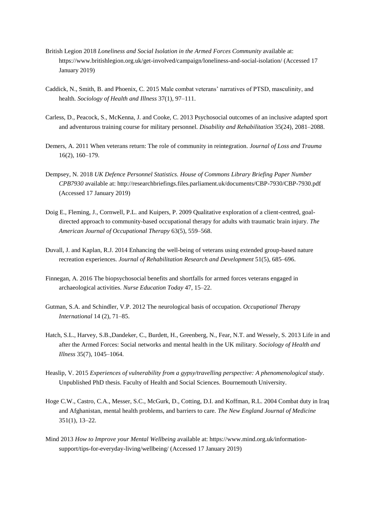- British Legion 2018 *Loneliness and Social Isolation in the Armed Forces Community* available at: https://www.britishlegion.org.uk/get-involved/campaign/loneliness-and-social-isolation/ (Accessed 17 January 2019)
- Caddick, N., Smith, B. and Phoenix, C. 2015 Male combat veterans' narratives of PTSD, masculinity, and health. *Sociology of Health and Illness* 37(1), 97–111.
- Carless, D., Peacock, S., McKenna, J. and Cooke, C. 2013 Psychosocial outcomes of an inclusive adapted sport and adventurous training course for military personnel. *Disability and Rehabilitation* 35(24), 2081–2088.
- Demers, A. 2011 When veterans return: The role of community in reintegration. *Journal of Loss and Trauma* 16(2), 160–179.
- Dempsey, N. 2018 *UK Defence Personnel Statistics. House of Commons Library Briefing Paper Number CPB7930* available at: http://researchbriefings.files.parliament.uk/documents/CBP-7930/CBP-7930.pdf (Accessed 17 January 2019)
- Doig E., Fleming, J., Cornwell, P.L. and Kuipers, P. 2009 Qualitative exploration of a client-centred, goaldirected approach to community-based occupational therapy for adults with traumatic brain injury. *The American Journal of Occupational Therapy* 63(5), 559–568.
- Duvall, J. and Kaplan, R.J. 2014 Enhancing the well-being of veterans using extended group-based nature recreation experiences. *Journal of Rehabilitation Research and Development* 51(5), 685–696.
- Finnegan, A. 2016 The biopsychosocial benefits and shortfalls for armed forces veterans engaged in archaeological activities. *Nurse Education Today* 47, 15–22.
- Gutman, S.A. and Schindler, V.P. 2012 The neurological basis of occupation. *Occupational Therapy International* 14 (2), 71–85.
- Hatch, S.L., Harvey, S.B.,Dandeker, C., Burdett, H., Greenberg, N., Fear, N.T. and Wessely, S. 2013 Life in and after the Armed Forces: Social networks and mental health in the UK military. *Sociology of Health and Illness* 35(7), 1045–1064.
- Heaslip, V. 2015 *Experiences of vulnerability from a gypsy/travelling perspective: A phenomenological study*. Unpublished PhD thesis. Faculty of Health and Social Sciences. Bournemouth University.
- Hoge C.W., Castro, C.A., Messer, S.C., McGurk, D., Cotting, D.I. and Koffman, R.L. 2004 Combat duty in Iraq and Afghanistan, mental health problems, and barriers to care. *The New England Journal of Medicine* 351(1), 13–22.
- Mind 2013 *How to Improve your Mental Wellbeing* available at: https://www.mind.org.uk/informationsupport/tips-for-everyday-living/wellbeing/ (Accessed 17 January 2019)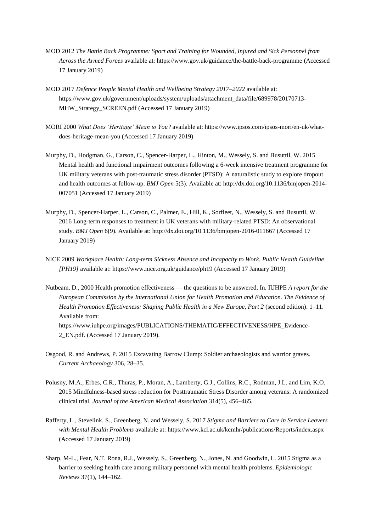- MOD 2012 *The Battle Back Programme: Sport and Training for Wounded, Injured and Sick Personnel from Across the Armed Forces* available at: https://www.gov.uk/guidance/the-battle-back-programme (Accessed 17 January 2019)
- MOD 2017 *Defence People Mental Health and Wellbeing Strategy 2017–2022* available at: https://www.gov.uk/government/uploads/system/uploads/attachment\_data/file/689978/20170713- MHW\_Strategy\_SCREEN.pdf (Accessed 17 January 2019)
- MORI 2000 *What Does 'Heritage' Mean to You?* available at: https://www.ipsos.com/ipsos-mori/en-uk/whatdoes-heritage-mean-you (Accessed 17 January 2019)
- Murphy, D., Hodgman, G., Carson, C., Spencer-Harper, L., Hinton, M., Wessely, S. and Busuttil, W. 2015 Mental health and functional impairment outcomes following a 6-week intensive treatment programme for UK military veterans with post-traumatic stress disorder (PTSD): A naturalistic study to explore dropout and health outcomes at follow-up. *BMJ Open* 5(3). Available at: http://dx.doi.org/10.1136/bmjopen-2014- 007051 (Accessed 17 January 2019)
- Murphy, D., Spencer-Harper, L., Carson, C., Palmer, E., Hill, K., Sorfleet, N., Wessely, S. and Busuttil, W. 2016 Long-term responses to treatment in UK veterans with military-related PTSD: An observational study. *BMJ Open* 6(9). Available at: http://dx.doi.org/10.1136/bmjopen-2016-011667 (Accessed 17 January 2019)
- NICE 2009 *Workplace Health: Long-term Sickness Absence and Incapacity to Work. Public Health Guideline [PH19]* available at: https://www.nice.org.uk/guidance/ph19 (Accessed 17 January 2019)
- Nutbeam, D., 2000 Health promotion effectiveness the questions to be answered. In. IUHPE *A report for the European Commission by the International Union for Health Promotion and Education. The Evidence of Health Promotion Effectiveness: Shaping Public Health in a New Europe, Part 2* (second edition). 1–11. Available from: https://www.iuhpe.org/images/PUBLICATIONS/THEMATIC/EFFECTIVENESS/HPE\_Evidence-2\_EN.pdf. (Accessed 17 January 2019).
- Osgood, R. and Andrews, P. 2015 Excavating Barrow Clump: Soldier archaeologists and warrior graves. *Current Archaeology* 306, 28–35.
- Polusny, M.A., Erbes, C.R., Thuras, P., Moran, A., Lamberty, G.J., Collins, R.C., Rodman, J.L. and Lim, K.O. 2015 Mindfulness-based stress reduction for Posttraumatic Stress Disorder among veterans: A randomized clinical trial. *Journal of the American Medical Association* 314(5), 456–465.
- Rafferty, L., Stevelink, S., Greenberg, N. and Wessely, S. 2017 *Stigma and Barriers to Care in Service Leavers with Mental Health Problems* available at: https://www.kcl.ac.uk/kcmhr/publications/Reports/index.aspx (Accessed 17 January 2019)
- Sharp, M-L., Fear, N.T. Rona, R.J., Wessely, S., Greenberg, N., Jones, N. and Goodwin, L. 2015 Stigma as a barrier to seeking health care among military personnel with mental health problems. *Epidemiologic Reviews* 37(1), 144–162.